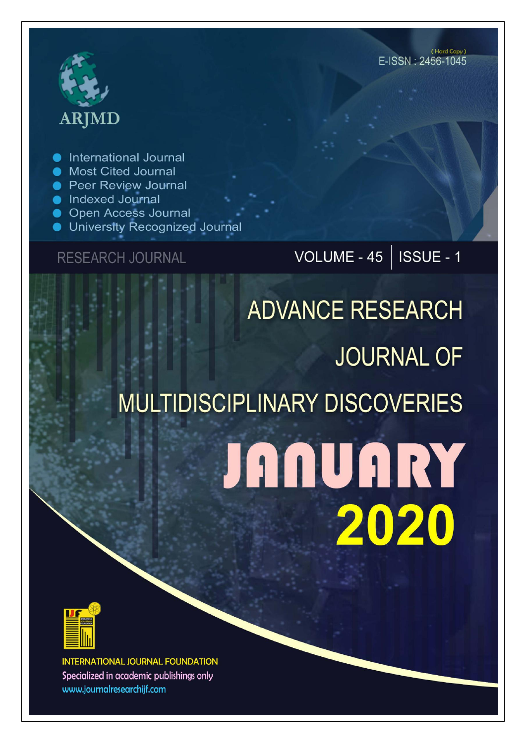## **ARJMD**

International Journal

- Most Cited Journal
- Peer Review Journal
- Indexed Journal
- **Open Access Journal**
- **University Recognized Journal**

### **RESEARCH JOURNAL**

## VOLUME -  $45$  | ISSUE - 1

# **ADVANCE RESEARCH JOURNAL OF MULTIDISCIPLINARY DISCOVERIES JANUARY** 2020



**INTERNATIONAL JOURNAL FOUNDATION** Specialized in academic publishings only www.journalresearchijf.com

(Hard Copy) E-ISSN: 2456-1045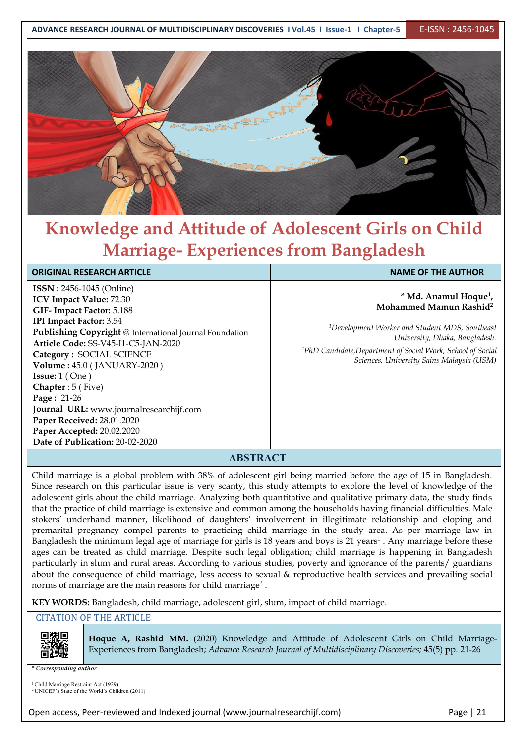

## **Knowledge and Attitude of Adolescent Girls on Child Marriage- Experiences from Bangladesh**

#### **ORIGINAL RESEARCH ARTICLE NAME OF THE AUTHOR**

**ISSN :** 2456-1045 (Online) **ICV Impact Value:** 72.30 **GIF- Impact Factor:** 5.188 **IPI Impact Factor:** 3.54 **Publishing Copyright** @ International Journal Foundation **Article Code:** SS-V45-I1-C5-JAN-2020 **Category :** SOCIAL SCIENCE **Volume :** 45.0 (JANUARY-2020 ) **Issue:** 1 ( One ) **Chapter** : 5 ( Five) **Page :** 21-26 **Journal URL:** www.journalresearchijf.com **Paper Received:** 28.01.2020 **Paper Accepted:** 20.02.2020 **Date of Publication:** 20-02-2020

**\* Md. Anamul Hoque 1 , Mohammed Mamun Rashid 2**

*<sup>1</sup>Development Worker and Student MDS, Southeast University, Dhaka, Bangladesh.*

*<sup>2</sup>PhD Candidate,Department of Social Work, School of Social Sciences, University Sains Malaysia (USM)*

#### **ABSTRACT**

Child marriage is a global problem with 38% of adolescent girl being married before the age of 15 in Bangladesh. Since research on this particular issue is very scanty, this study attempts to explore the level of knowledge of the adolescent girls about the child marriage. Analyzing both quantitative and qualitative primary data, the study finds that the practice of child marriage is extensive and common among the households having financial difficulties. Male stokers' underhand manner, likelihood of daughters' involvement in illegitimate relationship and eloping and premarital pregnancy compel parents to practicing child marriage in the study area. As per marriage law in Bangladesh the minimum legal age of marriage for girls is 18 years and boys is 21 years<sup>1</sup>. Any marriage before these  $||$ ages can be treated as child marriage. Despite such legal obligation; child marriage is happening in Bangladesh particularly in slum and rural areas. According to various studies, poverty and ignorance of the parents/ guardians about the consequence of child marriage, less access to sexual & reproductive health services and prevailing social norms of marriage are the main reasons for child marriage 2 .

**KEY WORDS:** Bangladesh, child marriage, adolescent girl, slum, impact of child marriage.

CITATION OF THE ARTICLE



**Hoque A, Rashid MM.** (2020) Knowledge and Attitude of Adolescent Girls on Child Marriage- Experiences from Bangladesh; *Advance Research Journal ofMultidisciplinary Discoveries;* 45(5) pp. 21-26

*\* Corresponding author*

<sup>1</sup>Child Marriage Restraint Act (1929) <sup>2</sup> UNICEF's State of the World's Children (2011)

Open access, Peer-reviewed and Indexed journal (www.journalresearchijf.com) Page |21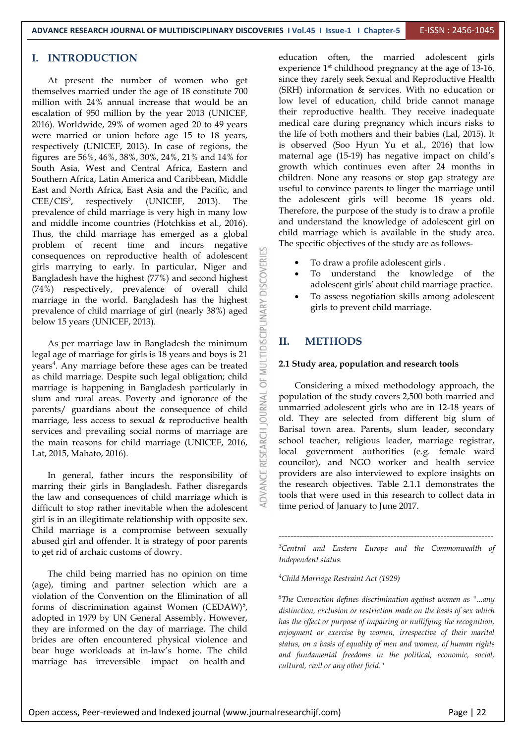#### **I. INTRODUCTION**

At present the number of women who get themselves married under the age of 18 constitute 700 million with 24% annual increase that would be an escalation of 950 million by the year 2013 (UNICEF, 2016). Worldwide, 29% of women aged 20 to 49 years were married or union before age 15 to 18 years, respectively (UNICEF, 2013). In case of regions, the figures are 56%, 46%, 38%, 30%, 24%, 21% and 14% for South Asia, West and Central Africa, Eastern and Southern Africa, Latin America and Caribbean, Middle East and North Africa, East Asia and the Pacific, and CEE/CIS<sup>3</sup>, respectively (UNICEF, 2013). The the adolesc prevalence of child marriage is very high in many low and middle income countries (Hotchkiss et al., 2016). Thus, the child marriage has emerged as a global problem of recent time and incurs negative consequences on reproductive health of adolescent  $\frac{dD}{dt}$  or  $\frac{dD}{dt}$  or  $\frac{dD}{dt}$  or  $\frac{dD}{dt}$  or  $\frac{dD}{dt}$  or  $\frac{dD}{dt}$  or  $\frac{dD}{dt}$  or  $\frac{dD}{dt}$  or  $\frac{dD}{dt}$  or  $\frac{dD}{dt}$  or  $\frac{dD}{dt}$  or  $\frac{dD}{dt}$  or  $\frac$ girls marrying to early. In particular, Niger and Bangladesh have the highest (77%) and second highest  $(74\%)$  reconotively previously of everyll obild Bangladesh have the highest (77%) and second highest (74%) respectively, prevalence of overall child marriage in the world. Bangladesh has the highest<br>prevalence of child marriage of girl (nearly 38%) aged<br>below 15 years (UNICEF, 2013).<br>As per marriage law in Bangladesh the minimum prevalence of child marriage of girl (nearly 38%) aged below 15 years (UNICEF, 2013).

As per marriage law in Bangladesh the minimum  $\mathbb{R}$  II. legal age of marriage for girls is 18 years and boys is 21 years<sup>4</sup>. Any marriage before these ages can be treated  $\Box$  2.1 Study area, po as child marriage. Despite such legal obligation; child marriage is happening in Bangladesh particularly in<br>slum and rural areas. Poverty and ignorance of the<br>parents/ quardians about the consequence of child slum and rural areas. Poverty and ignorance of the parents/ guardians about the consequence of child<br>marriage, less access to sexual & reproductive health marriage, less access to sexual & reproductive health services and prevailing social norms of marriage are the main reasons for child marriage (UNICEF, 2016,  $\frac{85}{64}$ Lat, 2015, Mahato, 2016). the main reasons for child marriage (UNICEF, 2016, Lat, 2015, Mahato, 2016).

In general, father incurs the responsibility of marring their girls in Bangladesh. Father disregards the law and consequences of child marriage which is difficult to stop rather inevitable when the adolescent girl is in an illegitimate relationship with opposite sex. Child marriage is a compromise between sexually abused girl and offender. It is strategy of poor parents to get rid of archaic customs of dowry.

The child being married has no opinion on time (age), timing and partner selection which are a violation of the Convention on the Elimination of all forms of discrimination against Women (CEDAW) adopted in 1979 by UN General Assembly. However, they are informed on the day of marriage. The child brides are often encountered physical violence and bear huge workloads at in-law's home. The child marriage has irreversible impact on health and

education often, the married adolescent girls experience  $1<sup>st</sup>$  childhood pregnancy at the age of 13-16, since they rarely seek Sexual and Reproductive Health (SRH) information & services. With no education or low level of education, child bride cannot manage their reproductive health. They receive inadequate medical care during pregnancy which incurs risks to the life of both mothers and their babies (Lal, 2015). It is observed (Soo Hyun Yu et al., 2016) that low maternal age (15-19) has negative impact on child's growth which continues even after 24 months in children. None any reasons or stop gap strategy are useful to convince parents to linger the marriage until the adolescent girls will become 18 years old. Therefore, the purpose of the study is to draw a profile and understand the knowledge of adolescent girl on child marriage which is available in the study area. The specific objectives of the study are as follows-

- To draw a profile adolescent girls .
- To understand the knowledge of the adolescent girls' about child marriage practice.
- To assess negotiation skills among adolescent girls to prevent child marriage.

#### **II. METHODS**

#### **2.1 Study area, population and research tools**

Considering a mixed methodology approach, the population of the study covers 2,500 both married and unmarried adolescent girls who are in 12-18 years of old. They are selected from different big slum of Barisal town area. Parents, slum leader, secondary school teacher, religious leader, marriage registrar, local government authorities (e.g. female ward councilor), and NGO worker and health service providers are also interviewed to explore insights on the research objectives. Table 2.1.1 demonstrates the tools that were used in this research to collect data in time period of January to June 2017.

*<sup>3</sup>Central and Eastern Europe and the Commonwealth of Independent status.*

*-------------------------------------------------------------------------*

*<sup>4</sup>Child Marriage Restraint Act (1929)*

5 , *distinction, exclusion or restriction made on the basis of sex which <sup>5</sup>The Convention definesdiscrimination against women as "...any has the ef ect or purpose of impairing or nullifying the recognition, enjoyment or exercise by women, irrespective of their marital status, on a basis of equality of men and women, of human rights and fundamental freedoms in the political, economic, social, cultural, civil or any other field."*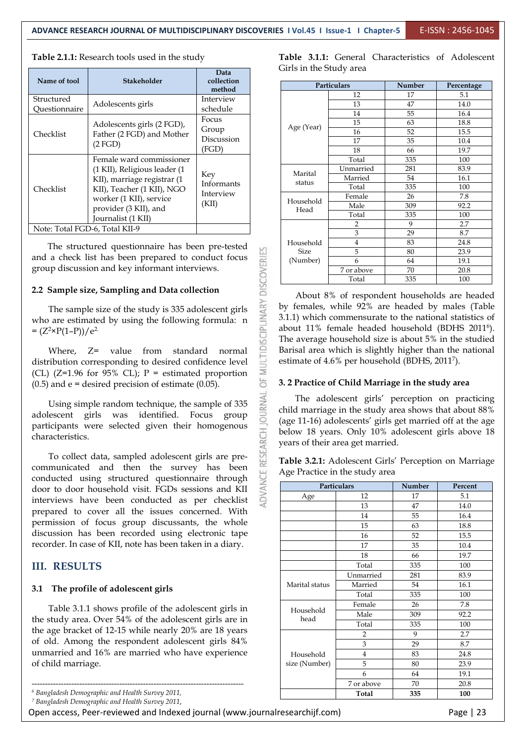| Name of tool                   | <b>Stakeholder</b>                                                                                                    | Data<br>collection<br>method          |  | GILIS III UIE C<br>Part |
|--------------------------------|-----------------------------------------------------------------------------------------------------------------------|---------------------------------------|--|-------------------------|
| Structured<br>Ouestionnaire    | Adolescents girls                                                                                                     | Interview<br>schedule                 |  |                         |
| Checklist                      | Adolescents girls (2 FGD),<br>Father (2 FGD) and Mother<br>(2 FGD)                                                    | Focus<br>Group<br>Discussion<br>(FGD) |  | Age (Year)              |
| Checklist                      | Female ward commissioner<br>(1 KII), Religious leader (1<br>KII), marriage registrar (1<br>KII), Teacher (1 KII), NGO | Key<br>Informants                     |  | Marital<br>status       |
|                                | worker (1 KII), service<br>provider (3 KII), and<br>Journalist (1 KII)                                                | Interview<br>(KII)                    |  | Household<br>Head       |
| Note: Total FGD-6, Total KII-9 |                                                                                                                       |                                       |  |                         |

#### **Table 2.1.1:** Research tools used in the study

The structured questionnaire has been pre-tested<br>
a check list has been prepared to conduct focus<br>
up discussion and key informant interviews.<br> **Sample size, Sampling and Data collection**<br>
The sample size of the study is and a check list has been prepared to conduct focus group discussion and key informant interviews.

#### **2.2 Sample size, Sampling and Data collection**

The sample size of the study is 335 adolescent girls who are estimated by using the following formula: n  $=(Z^2 \times P(1-P))/e^2$ 

Where,  $Z=$  value from standard normal<br>ribution corresponding to desired confidence level<br> $(7=1.96 \text{ for } 95\% \text{ CI})$ :  $P =$  estimated proportion distribution corresponding to desired confidence level (CL) (Z=1.96 for 95% CL); P = estimated proportion  $\ge$  (0.5) and e = desired precision of estimate (0.05).  $(0.5)$  and  $e =$  desired precision of estimate  $(0.05)$ .

Using simple random technique, the sample of 335 lescent girls was identified. Focus group adolescent girls was identified. Focus group participants were selected given their homogenous<br>characteristics.<br>To collect data, sampled adolescent girls are pre-<br>communicated and then survey here here characteristics.

To collect data, sampled adolescent girls are pre communicated and then the survey has been<br>conducted using structured questionnaire through<br>door to door household visit FGDs sessions and KII conducted using structured questionnaire through door to door household visit. FGDs sessions and KII interviews have been conducted as per checklist prepared to cover all the issues concerned. With permission of focus group discussants, the whole discussion has been recorded using electronic tape recorder. In case of KII, note has been taken in a diary.

#### **III. RESULTS**

#### **3.1 The profile of adolescent girls**

*<sup>7</sup> Bangladesh Demographic and Health Survey 2011*,

Open access, Peer-reviewed and Indexed journal (www.journalresearchijf.com) entitled access, Page | 23

**Table 3.1.1:** General Characteristics of Adolescent Girls in the Study area

| Particulars<br>Number<br>Percentage<br>method<br>12<br>5.1<br>17<br>Interview<br>13<br>47<br>14.0<br>schedule<br>55<br>14<br>16.4<br>Focus<br>15<br>18.8<br>63<br>Age (Year)<br>Group<br>16<br>52<br>15.5 |
|-----------------------------------------------------------------------------------------------------------------------------------------------------------------------------------------------------------|
|                                                                                                                                                                                                           |
|                                                                                                                                                                                                           |
|                                                                                                                                                                                                           |
|                                                                                                                                                                                                           |
|                                                                                                                                                                                                           |
|                                                                                                                                                                                                           |
| Discussion<br>17<br>35<br>10.4                                                                                                                                                                            |
| (FGD)<br>18<br>19.7<br>66                                                                                                                                                                                 |
| Total<br>335<br>100                                                                                                                                                                                       |
| Unmarried<br>83.9<br>281                                                                                                                                                                                  |
| Marital<br>Key<br>Married<br>54<br>16.1                                                                                                                                                                   |
| status<br>Informants<br>335<br>Total<br>100                                                                                                                                                               |
| Interview<br>Female<br>7.8<br>26                                                                                                                                                                          |
| Household<br>(KII)<br>Male<br>309<br>92.2                                                                                                                                                                 |
| Head<br>335<br>Total<br>100                                                                                                                                                                               |
| 9<br>2.7<br>$\overline{2}$                                                                                                                                                                                |
| 3<br>29<br>8.7                                                                                                                                                                                            |
| 83<br>24.8<br>Household<br>4                                                                                                                                                                              |
| n pre-tested<br>5<br><b>Size</b><br>80<br>23.9                                                                                                                                                            |
| OVERIES<br>nduct focus<br>(Number)<br>6<br>19.1<br>64                                                                                                                                                     |
| ews.<br>7 or above<br>20.8<br>70                                                                                                                                                                          |
| 335<br>Total<br>100                                                                                                                                                                                       |

About 8% of respondent households are headed by females, while 92% are headed by males (Table 3.1.1) which commensurate to the national statistics of about 11% female headed household (BDHS 2011 <sup>6</sup>). The average household size is about 5% in the studied Barisal area which is slightly higher than the national estimate of 4.6% per household (BDHS, 2011 <sup>7</sup>).

#### **3. 2 Practice of Child Marriage in the study area**

The adolescent girls' perception on practicing child marriage in the study area shows that about 88% (age 11-16) adolescents' girls get married off at the age below 18 years. Only 10% adolescent girls above 18 years of their area get married.

**Table 3.2.1:** Adolescent Girls' Perception on Marriage Age Practice in the study area

| conducted asing structured questionnaire unough           |                   |                    |     |         |  |
|-----------------------------------------------------------|-------------------|--------------------|-----|---------|--|
| door to door household visit. FGDs sessions and KII       |                   | <b>Particulars</b> |     | Percent |  |
| interviews have been conducted as per checklist           | Age               | 12                 | 17  | 5.1     |  |
|                                                           |                   | 13                 | 47  | 14.0    |  |
| prepared to cover all the issues concerned. With          |                   | 14                 | 55  | 16.4    |  |
| permission of focus group discussants, the whole          |                   | 15                 | 63  | 18.8    |  |
| discussion has been recorded using electronic tape        |                   | 16                 | 52  | 15.5    |  |
| recorder. In case of KII, note has been taken in a diary. |                   | 17                 | 35  | 10.4    |  |
|                                                           |                   | 18                 | 66  | 19.7    |  |
| <b>III. RESULTS</b>                                       |                   | Total              | 335 | 100     |  |
|                                                           |                   | Unmarried          | 281 | 83.9    |  |
| 3.1 The profile of adolescent girls                       | Marital status    | Married            | 54  | 16.1    |  |
|                                                           |                   | Total              | 335 | 100     |  |
| Table 3.1.1 shows profile of the adolescent girls in      |                   | Female             | 26  | 7.8     |  |
|                                                           | Household<br>head | Male               | 309 | 92.2    |  |
| the study area. Over 54% of the adolescent girls are in   |                   | Total              | 335 | 100     |  |
| the age bracket of 12-15 while nearly 20% are 18 years    |                   | 2                  | 9   | 2.7     |  |
| of old. Among the respondent adolescent girls 84%         |                   | 3                  | 29  | 8.7     |  |
| unmarried and 16% are married who have experience         | Household         | 4                  | 83  | 24.8    |  |
| of child marriage.                                        | size (Number)     | 5                  | 80  | 23.9    |  |
|                                                           |                   | 6                  | 64  | 19.1    |  |
|                                                           |                   | 7 or above         | 70  | 20.8    |  |
| $^6$ Bangladesh Demographic and Health Survey 2011,       |                   | Total              | 335 | 100     |  |
|                                                           |                   |                    |     |         |  |

*<sup>6</sup> Bangladesh Demographic and Health Survey 2011,*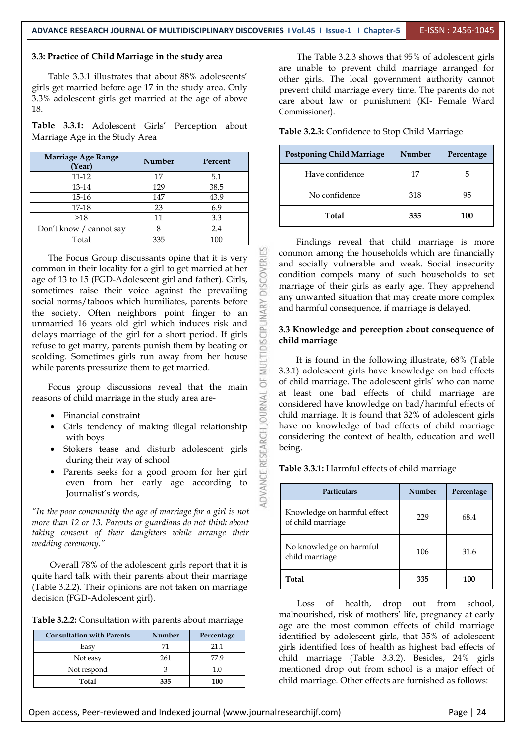#### **3.3: Practice of Child Marriage in the study area**

Table 3.3.1 illustrates that about 88% adolescents' girls get married before age 17 in the study area. Only 3.3% adolescent girls get married at the age of above 18.

**Table 3.3.1:** Adolescent Girls' Perception about Marriage Age in the Study Area

| Marriage Age Range<br>(Year) | <b>Number</b> | Percent |
|------------------------------|---------------|---------|
| 11-12                        | 17            | 5.1     |
| 13-14                        | 129           | 38.5    |
| 15-16                        | 147           | 43.9    |
| 17-18                        | 23            | 6.9     |
| >18                          | 11            | 3.3     |
| Don't know / cannot say      |               | 2.4     |
| Total                        | 335           | 100     |

The Focus Group discussants opine that it is very<br>nmon in their locality for a girl to get married at her<br>of 13 to 15 (FGD-Adolescent girl and father). Girls,<br>netimes raise their voice against the prevailing common in their locality for a girl to get married at her age of 13 to 15 (FGD-Adolescent girl and father). Girls, sometimes raise their voice against the prevailing social norms/taboos which humiliates, parents before<br>the society. Often neighbors point finger to an<br>unmarried 16 years old girl which induces risk and<br>delays marriage of the girl for a short period. If girls<br>refuse to ge the society. Often neighbors point finger to an unmarried 16 years old girl which induces risk and delays marriage of the girl for a short period. If girls refuse to get marry, parents punish them by beating or scolding. Sometimes girls run away from her house while parents pressurize them to get married.

Focus group discussions reveal that the main sons of child marriage in the study area are-<br>• Financial constraint reasons of child marriage in the study area are-

- Financial constraint
- with boys
- Stokers tease and disturb adolescent girls during their way of school
- Girls tendency of making illegal relationship<br>with boys<br>Stokers tease and disturb adolescent girls<br>during their way of school<br>Parents seeks for a good groom for her girl<br>even from her early age according to<br>Journalist's wo Parents seeks for a good groom for her girl even from her early age according to Journalist's words,

*"In the poor community the age ofmarriage for a girl is not more than 12 or 13. Parents or guardians do not think about taking consent of their daughters while arrange their wedding ceremony."*

Overall 78% of the adolescent girls report that it is quite hard talk with their parents about their marriage (Table 3.2.2). Their opinions are not taken on marriage decision (FGD-Adolescent girl).

|                                                              |  | 11.011.0041.00 |
|--------------------------------------------------------------|--|----------------|
| <b>Table 3.2.2:</b> Consultation with parents about marriage |  |                |
|                                                              |  | 200.25         |

| <b>Consultation with Parents</b> | Number | Percentage |
|----------------------------------|--------|------------|
| Easy                             |        | 21.1       |
| Not easy                         | 261    | 77.9       |
| Not respond                      |        |            |
| Total                            | 335    | 100        |

The Table 3.2.3 shows that 95% of adolescent girls are unable to prevent child marriage arranged for other girls. The local government authority cannot prevent child marriage every time. The parents do not care about law or punishment (KI- Female Ward Commissioner).

**Table 3.2.3:** Confidence to Stop Child Marriage

| <b>Postponing Child Marriage</b> | Number | Percentage |
|----------------------------------|--------|------------|
| Have confidence                  | 17     | 5          |
| No confidence                    | 318    | 95         |
| Total                            | 335    | 100        |

Findings reveal that child marriage is more common among the households which are financially and socially vulnerable and weak. Social insecurity condition compels many of such households to set marriage of their girls as early age. They apprehend any unwanted situation that may create more complex and harmful consequence, if marriage is delayed.

#### **3.3 Knowledge and perception about consequence of child marriage**

It is found in the following illustrate, 68% (Table 3.3.1) adolescent girls have knowledge on bad effects of child marriage. The adolescent girls' who can name at least one bad effects of child marriage are considered have knowledge on bad/harmful effects of child marriage. It is found that 32% of adolescent girls have no knowledge of bad effects of child marriage considering the context of health, education and well being.

#### **Table 3.3.1:** Harmful effects of child marriage

| <b>Particulars</b>                               | Number | Percentage |
|--------------------------------------------------|--------|------------|
| Knowledge on harmful effect<br>of child marriage | 229    | 68.4       |
| No knowledge on harmful<br>child marriage        | 106    | 31.6       |
| Total                                            | 335    | 100        |

Loss of health, drop out from school, malnourished, risk of mothers' life, pregnancy at early age are the most common effects of child marriage identified by adolescent girls, that 35% of adolescent girls identified loss of health as highest bad effects of child marriage (Table 3.3.2). Besides, 24% girls mentioned drop out from school is a major effect of child marriage. Other effects are furnished as follows: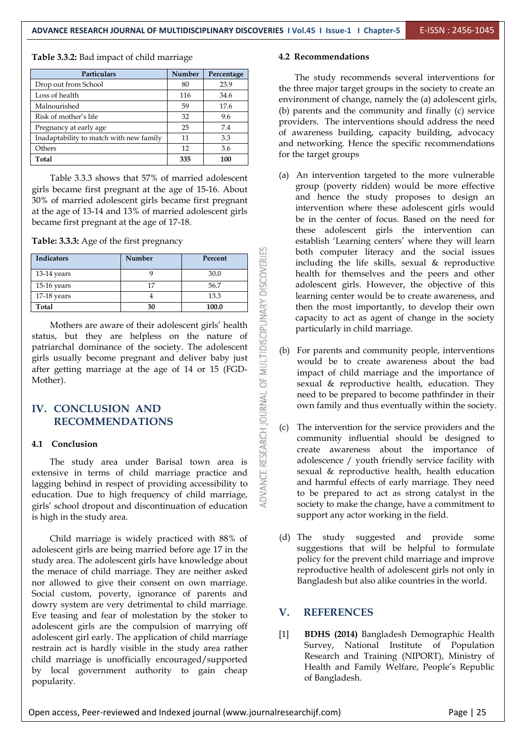**Table 3.3.2:** Bad impact of child marriage

| <b>Particulars</b>                      | Number | Percentage |
|-----------------------------------------|--------|------------|
| Drop out from School                    | 80     | 23.9       |
| Loss of health                          | 116    | 34.6       |
| Malnourished                            | 59     | 17.6       |
| Risk of mother's life                   | 32     | 9.6        |
| Pregnancy at early age                  | 25     | 7.4        |
| Inadaptability to match with new family | 11     | 3.3        |
| Others                                  | 12     | 3.6        |
| Total                                   | 335    | 100        |

Table 3.3.3 shows that 57% of married adolescent girls became first pregnant at the age of 15-16. About 30% of married adolescent girls became first pregnant at the age of 13-14 and 13% of married adolescent girls became first pregnant at the age of 17-18.

**Table: 3.3.3:** Age of the first pregnancy

| <b>Indicators</b>                                                                                                                                                                                                                                                                       | Number         | Percent |                                                           |     |  |
|-----------------------------------------------------------------------------------------------------------------------------------------------------------------------------------------------------------------------------------------------------------------------------------------|----------------|---------|-----------------------------------------------------------|-----|--|
| 13-14 years                                                                                                                                                                                                                                                                             | 9              | 30.0    |                                                           |     |  |
| 15-16 years                                                                                                                                                                                                                                                                             | 17             | 56.7    |                                                           |     |  |
| $17-18$ years                                                                                                                                                                                                                                                                           | $\overline{4}$ | 13.3    |                                                           |     |  |
| Total                                                                                                                                                                                                                                                                                   | 30             | 100.0   |                                                           |     |  |
| Mothers are aware of their adolescent girls' health<br>status, but they are helpless on the nature of<br>patriarchal dominance of the society. The adolescent<br>girls usually become pregnant and deliver baby just<br>after getting marriage at the age of 14 or 15 (FGD-<br>Mother). |                |         |                                                           |     |  |
| IV. CONCLUSION AND                                                                                                                                                                                                                                                                      |                |         |                                                           |     |  |
| <b>RECOMMENDATIONS</b>                                                                                                                                                                                                                                                                  |                |         |                                                           |     |  |
| Conclusion<br>4.1                                                                                                                                                                                                                                                                       |                |         |                                                           | (c) |  |
| The study area under Barisal town area is<br>extensive in terms of child marriage practice and<br>lagging behind in respect of providing accessibility to<br>education. Due to high frequency of child marriage,<br>girls' school dropout and discontinuation of education              |                |         | ADVANCE RESEARCH JOURNAL OF MULTIDISCIPLINARY DISCOVERIES |     |  |

#### **IV. CONCLUSION AND RECOMMENDATIONS**

#### **4.1 Conclusion**

The study area under Barisal town area is extensive in terms of child marriage practice and lagging behind in respect of providing accessibility to education. Due to high frequency of child marriage, girls' school dropout and discontinuation of education is high in the study area.

Child marriage is widely practiced with 88% of (d) The study adolescent girls are being married before age 17 in the study area. The adolescent girls have knowledge about the menace of child marriage. They are neither asked nor allowed to give their consent on own marriage. Social custom, poverty, ignorance of parents and dowry system are very detrimental to child marriage.<br>Five together and from of moleclation by the oteler to  $V$ . Eve teasing and fear of molestation by the stoker to adolescent girls are the compulsion of marrying off adolescent girl early. The application of child marriage restrain act is hardly visible in the study area rather child marriage is unofficially encouraged/supported by local government authority to gain cheap popularity.

#### **4.2 Recommendations**

The study recommends several interventions for the three major target groups in the society to create an environment of change, namely the (a) adolescent girls, (b) parents and the community and finally (c) service providers. The interventions should address the need of awareness building, capacity building, advocacy and networking. Hence the specific recommendations for the target groups

- (a) An intervention targeted to the more vulnerable group (poverty ridden) would be more effective and hence the study proposes to design an intervention where these adolescent girls would be in the center of focus. Based on the need for these adolescent girls the intervention can establish 'Learning centers' where they will learn both computer literacy and the social issues including the life skills, sexual & reproductive health for themselves and the peers and other adolescent girls. However, the objective of this learning center would be to create awareness, and then the most importantly, to develop their own capacity to act as agent of change in the society particularly in child marriage.
- (b) For parents and community people, interventions would be to create awareness about the bad impact of child marriage and the importance of sexual & reproductive health, education. They need to be prepared to become pathfinder in their own family and thus eventually within the society.
- (c) The intervention for the service providers and the community influential should be designed to create awareness about the importance of adolescence / youth friendly service facility with sexual & reproductive health, health education and harmful effects of early marriage. They need to be prepared to act as strong catalyst in the society to make the change, have a commitment to support any actor working in the field.
- suggested and provide some suggestions that will be helpful to formulate policy for the prevent child marriage and improve reproductive health of adolescent girls not only in Bangladesh but also alike countries in the world.

#### **V. REFERENCES**

[1] **BDHS (2014)** Bangladesh Demographic Health Survey, National Institute of Population Research and Training (NIPORT), Ministry of Health and Family Welfare, People's Republic of Bangladesh.